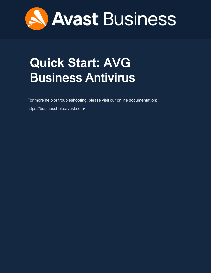

# <span id="page-0-0"></span>**Quick Start:** AVG Business Antivirus

For more help or troubleshooting, please visit our online documentation:

<https://businesshelp.avast.com/>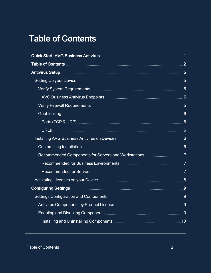## <span id="page-1-0"></span>Table of Contents

| Quick Start: AVG Business Antivirus <b>Manual Access Antivirus</b> 1                                      |  |
|-----------------------------------------------------------------------------------------------------------|--|
|                                                                                                           |  |
|                                                                                                           |  |
|                                                                                                           |  |
|                                                                                                           |  |
|                                                                                                           |  |
|                                                                                                           |  |
|                                                                                                           |  |
|                                                                                                           |  |
|                                                                                                           |  |
| Installing AVG Business Antivirus on Devices <b>Multiples</b> Anti-American State of State State State St |  |
|                                                                                                           |  |
|                                                                                                           |  |
|                                                                                                           |  |
|                                                                                                           |  |
|                                                                                                           |  |
|                                                                                                           |  |
|                                                                                                           |  |
| Antivirus Components by Product License <b>Manual Antivirus Components</b> 9                              |  |
|                                                                                                           |  |
|                                                                                                           |  |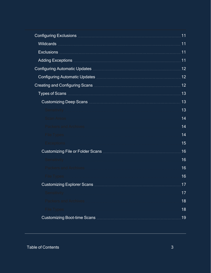| Configuring Exclusions <b>Configuring Exclusions Configuring Exclusions</b>      | 11  |
|----------------------------------------------------------------------------------|-----|
|                                                                                  | .11 |
|                                                                                  | 11  |
|                                                                                  | 11  |
| Configuring Automatic Updates <b>Material Configurer Automatic Properties</b>    | 12  |
| Configuring Automatic Updates <b>Manual Accord Configuring Automatic Updates</b> | 12  |
|                                                                                  | 12  |
|                                                                                  | 13  |
|                                                                                  | 13  |
| Sensitivity                                                                      | 13  |
| <b>Scan Areas</b>                                                                | 14  |
| <b>Packers and Archives</b>                                                      | 14  |
| <b>File Types</b>                                                                | 14  |
| <b>Exceptions</b>                                                                | 15  |
|                                                                                  | 16  |
| Sensitivity                                                                      | 16  |
| <b>Packers and Archives</b>                                                      | 16  |
| <b>File Types</b>                                                                | 16  |
|                                                                                  | 17  |
| Sensitivity                                                                      | 17  |
| <b>Packers and Archives</b>                                                      | 18  |
| <b>File Types</b>                                                                | 18  |
|                                                                                  | 19  |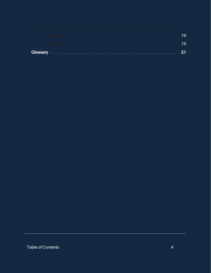| <b>Glossary</b><br>. |  |
|----------------------|--|
|                      |  |
|                      |  |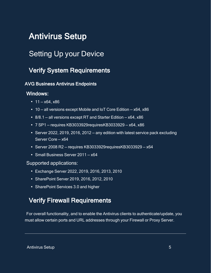## <span id="page-4-1"></span><span id="page-4-0"></span>Antivirus Setup

## <span id="page-4-2"></span>Setting Up your Device

## Verify System Requirements

## <span id="page-4-3"></span>AVG Business Antivirus Endpoints

## Windows:

- $11 x64$ ,  $x86$
- $\cdot$  10 all versions except Mobile and IoT Core Edition x64, x86
- 8/8.1 all versions except RT and Starter Edition  $x64$ ,  $x86$
- $\cdot$  7 SP1 requires KB3033929requiresKB3033929 x64, x86
- Server 2022, 2019, 2016, 2012 any edition with latest service pack excluding Server Core — x64
- $\cdot$  Server 2008 R2 requires KB3033929requiresKB3033929 x64
- Small Business Server 2011 x64

### Supported applications:

- <sup>l</sup> Exchange Server 2022, 2019, 2016, 2013, 2010
- SharePoint Server 2019, 2016, 2012, 2010
- <span id="page-4-4"></span>• SharePoint Services 3.0 and higher

## Verify Firewall Requirements

For overall functionality, and to enable the Antivirus clients to authenticate/update, you must allow certain ports and URL addresses through your Firewall or Proxy Server.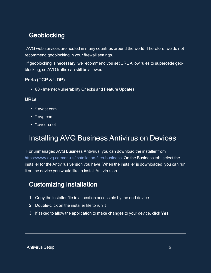## <span id="page-5-0"></span>**Geoblocking**

AVG web services are hosted in many countries around the world. Therefore, we do not recommend geoblocking in your firewall settings.

If geoblocking is necessary, we recommend you set URL Allow rules to supercede geoblocking, so AVG traffic can still be allowed.

## <span id="page-5-1"></span>Ports (TCP & UDP)

<span id="page-5-2"></span>• 80 - Internet Vulnerability Checks and Feature Updates

## URLs

- \*.avast.com
- \*.avg.com
- <span id="page-5-3"></span>• \*.avcdn.net

## Installing AVG Business Antivirus on Devices

For unmanaged AVG Business Antivirus, you can download the installer from <https://www.avg.com/en-us/installation-files-business>. On the Business tab, select the installer for the Antivirus version you have. When the installer is downloaded, you can run it on the device you would like to install Antivirus on.

## <span id="page-5-4"></span>Customizing Installation

- 1. Copy the installer file to a location accessible by the end device
- 2. Double-click on the installer file to run it
- 3. If asked to allow the application to make changes to your device, click Yes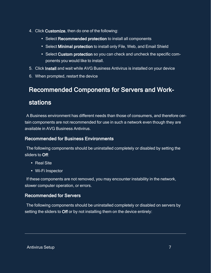- 4. Click Customize, then do one of the following:
	- Select Recommended protection to install all components
	- Select Minimal protection to install only File, Web, and Email Shield
	- Select Custom protection so you can check and uncheck the specific components you would like to install.
- 5. Click Install and wait while AVG Business Antivirus is installed on your device
- <span id="page-6-0"></span>6. When prompted, restart the device

## Recommended Components for Servers and Work-

## stations

A Business environment has different needs than those of consumers, and therefore certain components are not recommended for use in such a network even though they are available in AVG Business Antivirus.

## <span id="page-6-1"></span>Recommended for Business Environments

The following components should be uninstalled completely or disabled by setting the sliders to Off:

- Real Site
- Wi-Fi Inspector

If these components are not removed, you may encounter instability in the network, slower computer operation, or errors.

## <span id="page-6-2"></span>Recommended for Servers

The following components should be uninstalled completely or disabled on servers by setting the sliders to Off or by not installing them on the device entirely: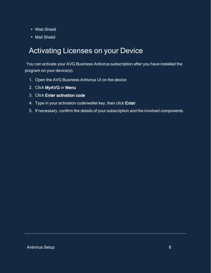- Web Shield
- <span id="page-7-0"></span>• Mail Shield

## Activating Licenses on your Device

You can activate your AVG Business Antivirus subscription after you have installed the program on your device(s).

- 1. Open the AVG Business Antivirus UI on the device
- 2. Click MyAVG or Menu
- 3. Click Enter activation code
- 4. Type in your activation code/wallet key, then click Enter
- 5. If necessary, confirm the details of your subscription and the involved components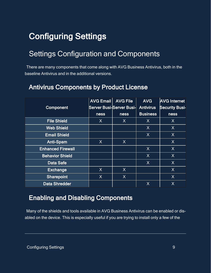## <span id="page-8-1"></span><span id="page-8-0"></span>Configuring Settings

## Settings Configuration and Components

<span id="page-8-2"></span>There are many components that come along with AVG Business Antivirus, both in the baseline Antivirus and in the additional versions.

|                          | <b>AVG Email</b> | <b>AVG File</b>          | <b>AVG</b>       | <b>AVG Internet</b>   |
|--------------------------|------------------|--------------------------|------------------|-----------------------|
| Component                |                  | Server Busi-Server Busi- | <b>Antivirus</b> | <b>Security Busi-</b> |
|                          | <b>ness</b>      | ness                     | <b>Business</b>  | ness                  |
| <b>File Shield</b>       | $\mathsf{X}$     | X                        | X                | X                     |
| <b>Web Shield</b>        |                  |                          | X                | X                     |
| <b>Email Shield</b>      |                  |                          | X                | X                     |
| <b>Anti-Spam</b>         | X                | $\sf X$                  |                  | X                     |
| <b>Enhanced Firewall</b> |                  |                          | X                | X                     |
| <b>Behavior Shield</b>   |                  |                          | X                | X                     |
| <b>Data Safe</b>         |                  |                          | X                | X                     |
| <b>Exchange</b>          | X                | $\sf X$                  |                  | X                     |
| <b>Sharepoint</b>        | X                | $\sf X$                  |                  | X                     |
| <b>Data Shredder</b>     |                  |                          | X                | X                     |

## Antivirus Components by Product License

## <span id="page-8-3"></span>Enabling and Disabling Components

Many of the shields and tools available in AVG Business Antivirus can be enabled or disabled on the device. This is especially useful if you are trying to install only a few of the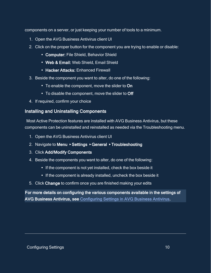components on a server, or just keeping your number of tools to a minimum.

- 1. Open the AVG Business Antivirus client UI
- 2. Click on the proper button for the component you are trying to enable or disable:
	- Computer: File Shield, Behavior Shield
	- Web & Email: Web Shield, Email Shield
	- Hacker Attacks: Enhanced Firewall
- 3. Beside the component you want to alter, do one of the following:
	- To enable the component, move the slider to On
	- To disable the component, move the slider to Off
- <span id="page-9-0"></span>4. If required, confirm your choice

## Installing and Uninstalling Components

Most Active Protection features are installed with AVG Business Antivirus, but these components can be uninstalled and reinstalled as needed via the Troubleshooting menu.

- 1. Open the AVG Business Antivirus client UI
- 2. Navigate to Menu ▸ Settings ▸ General ▸ Troubleshooting
- 3. Click Add/Modify Components
- 4. Beside the components you want to alter, do one of the following:
	- If the component is not yet installed, check the box beside it
	- If the component is already installed, uncheck the box beside it
- 5. Click Change to confirm once you are finished making your edits

For more details on configuring the various components available in the settings of AVG Business Antivirus, see [Configuring Settings in AVG Business Antivirus.](https://businesshelp.avast.com/Content/ArticleLists/AVG_Security/ConfiguringSettings.htm)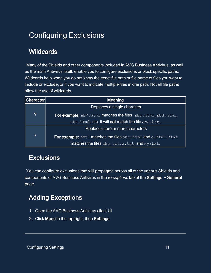## <span id="page-10-1"></span><span id="page-10-0"></span>Configuring Exclusions

## **Wildcards**

Many of the Shields and other components included in AVG Business Antivirus, as well as the main Antivirus itself, enable you to configure exclusions or block specific paths. Wildcards help when you do not know the exact file path or file name of files you want to include or exclude, or if you want to indicate multiple files in one path. Not all file paths allow the use of wildcards.

| <b>Character</b> | <b>Meaning</b>                                                       |  |  |  |  |
|------------------|----------------------------------------------------------------------|--|--|--|--|
|                  | Replaces a single character                                          |  |  |  |  |
| $\boldsymbol{?}$ | For example: ab?.html matches the files abc.html, abd.html,          |  |  |  |  |
|                  | abe.html, etc. It will not match the file abc.htm.                   |  |  |  |  |
|                  | Replaces zero or more characters                                     |  |  |  |  |
| $\star$          | <b>For example:</b> *mtl matches the files abc.html and d.html. *txt |  |  |  |  |
|                  | matches the files abc.txt, x.txt, and xyztxt.                        |  |  |  |  |

## <span id="page-10-2"></span>**Exclusions**

<span id="page-10-3"></span>You can configure exclusions that will propagate across all of the various Shields and components of AVG Business Antivirus in the *Exceptions* tab of the Settings ▶ General page.

## Adding Exceptions

- 1. Open the AVG Business Antivirus client UI
- 2. Click Menu in the top-right, then Settings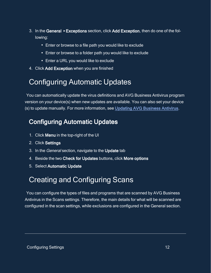- 3. In the General ▸ Exceptions section, click Add Exception, then do one of the following:
	- Enter or browse to a file path you would like to exclude
	- Enter or browse to a folder path you would like to exclude
	- Enter a URL you would like to exclude
- <span id="page-11-0"></span>4. Click Add Exception when you are finished

## Configuring Automatic Updates

<span id="page-11-1"></span>You can automatically update the virus definitions and AVG Business Antivirus program version on your device(s) when new updates are available. You can also set your device (s) to update manually. For more information, see [Updating AVG Business Antivirus.](https://businesshelp.avast.com/Content/Products/AVG_Antivirus/AntivirusManagement/UpdatingAVGBusinessSecurity.htm)

## Configuring Automatic Updates

- 1. Click Menu in the top-right of the UI
- 2. Click Settings
- 3. In the General section, navigate to the Update tab
- 4. Beside the two Check for Updates buttons, click More options
- <span id="page-11-2"></span>5. Select Automatic Update

## Creating and Configuring Scans

You can configure the types of files and programs that are scanned by AVG Business Antivirus in the Scans settings. Therefore, the main details for what will be scanned are configured in the scan settings, while exclusions are configured in the General section.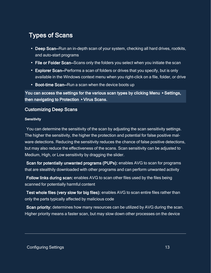## <span id="page-12-0"></span>Types of Scans

- Deep Scan–Run an in-depth scan of your system, checking all hard drives, rootkits, and auto-start programs
- File or Folder Scan–Scans only the folders you select when you initiate the scan
- Explorer Scan–Performs a scan of folders or drives that you specify, but is only available in the Windows context menu when you right-click on a file, folder, or drive
- Boot-time Scan–Run a scan when the device boots up

You can access the settings for the various scan types by clicking Menu ▸ Settings, then navigating to Protection ▸ Virus Scans.

### <span id="page-12-2"></span><span id="page-12-1"></span>Customizing Deep Scans

#### **Sensitivity**

You can determine the sensitivity of the scan by adjusting the scan sensitivity settings. The higher the sensitivity, the higher the protection and potential for false positive malware detections. Reducing the sensitivity reduces the chance of false positive detections, but may also reduce the effectiveness of the scans. Scan sensitivity can be adjusted to Medium, High, or Low sensitivity by dragging the slider.

Scan for potentially unwanted programs (PUPs): enables AVG to scan for programs that are stealthily downloaded with other programs and can perform unwanted activity

Follow links during scan: enables AVG to scan other files used by the files being scanned for potentially harmful content

Test whole files (very slow for big files): enables AVG to scan entire files rather than only the parts typically affected by malicious code

Scan priority: determines how many resources can be utilized by AVG during the scan. Higher priority means a faster scan, but may slow down other processes on the device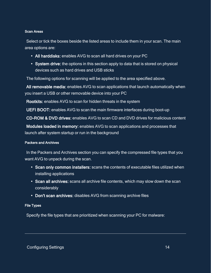#### <span id="page-13-0"></span>Scan Areas

Select or tick the boxes beside the listed areas to include them in your scan. The main area options are:

- All harddisks: enables AVG to scan all hard drives on your PC
- System drive: the options in this section apply to data that is stored on physical devices such as hard drives and USB sticks

The following options for scanning will be applied to the area specified above.

All removable media: enables AVG to scan applications that launch automatically when you insert a USB or other removable device into your PC

Rootkits: enables AVG to scan for hidden threats in the system

UEFI BOOT: enables AVG to scan the main firmware interfaces during boot-up

CD-ROM & DVD drives: enables AVG to scan CD and DVD drives for malicious content

Modules loaded in memory: enables AVG to scan applications and processes that launch after system startup or run in the background

#### <span id="page-13-1"></span>Packers and Archives

In the Packers and Archives section you can specify the compressed file types that you want AVG to unpack during the scan.

- Scan only common installers: scans the contents of executable files utilized when installing applications
- Scan all archives: scans all archive file contents, which may slow down the scan considerably
- <span id="page-13-2"></span>• Don't scan archives: disables AVG from scanning archive files

#### File Types

Specify the file types that are prioritized when scanning your PC for malware: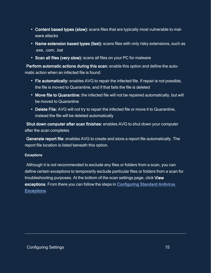- Content based types (slow): scans files that are typically most vulnerable to malware attacks
- Name extension based types (fast): scans files with only risky extensions, such as .exe, .com, .bat
- Scan all files (very slow): scans all files on your PC for malware

Perform automatic actions during this scan: enable this option and define the automatic action when an infected file is found:

- Fix automatically: enables AVG to repair the infected file. If repair is not possible, the file is moved to Quarantine, and if that fails the file is deleted
- Move file to Quarantine: the infected file will not be repaired automatically, but will be moved to Quarantine
- Delete File: AVG will not try to repair the infected file or move it to Quarantine, instead the file will be deleted automatically

Shut down computer after scan finishes: enables AVG to shut down your computer after the scan completes

Generate report file: enables AVG to create and store a report file automatically. The report file location is listed beneath this option.

#### <span id="page-14-0"></span>**Exceptions**

Although it is not recommended to exclude any files or folders from a scan, you can define certain exceptions to temporarily exclude particular files or folders from a scan for troubleshooting purposes. At the bottom of the scan settings page, click View exceptions. From there you can follow the steps in [Configuring Standard Antivirus](https://businesshelp.avast.com/Content/Products/AVG_Antivirus/ConfiguringSettings/ConfiguringStandardAVExclusions.htm)  [Exceptions](https://businesshelp.avast.com/Content/Products/AVG_Antivirus/ConfiguringSettings/ConfiguringStandardAVExclusions.htm).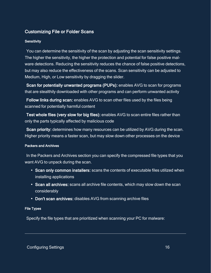## <span id="page-15-1"></span><span id="page-15-0"></span>Customizing File or Folder Scans

#### **Sensitivity**

You can determine the sensitivity of the scan by adjusting the scan sensitivity settings. The higher the sensitivity, the higher the protection and potential for false positive malware detections. Reducing the sensitivity reduces the chance of false positive detections, but may also reduce the effectiveness of the scans. Scan sensitivity can be adjusted to Medium, High, or Low sensitivity by dragging the slider.

Scan for potentially unwanted programs (PUPs): enables AVG to scan for programs that are stealthily downloaded with other programs and can perform unwanted activity

Follow links during scan: enables AVG to scan other files used by the files being scanned for potentially harmful content

Test whole files (very slow for big files): enables AVG to scan entire files rather than only the parts typically affected by malicious code

Scan priority: determines how many resources can be utilized by AVG during the scan. Higher priority means a faster scan, but may slow down other processes on the device

#### <span id="page-15-2"></span>Packers and Archives

In the Packers and Archives section you can specify the compressed file types that you want AVG to unpack during the scan.

- Scan only common installers: scans the contents of executable files utilized when installing applications
- Scan all archives: scans all archive file contents, which may slow down the scan considerably
- <span id="page-15-3"></span>• Don't scan archives: disables AVG from scanning archive files

#### File Types

Specify the file types that are prioritized when scanning your PC for malware: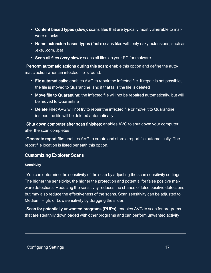- Content based types (slow): scans files that are typically most vulnerable to malware attacks
- Name extension based types (fast): scans files with only risky extensions, such as .exe, .com, .bat
- Scan all files (very slow): scans all files on your PC for malware

Perform automatic actions during this scan: enable this option and define the automatic action when an infected file is found:

- Fix automatically: enables AVG to repair the infected file. If repair is not possible, the file is moved to Quarantine, and if that fails the file is deleted
- Move file to Quarantine: the infected file will not be repaired automatically, but will be moved to Quarantine
- Delete File: AVG will not try to repair the infected file or move it to Quarantine, instead the file will be deleted automatically

Shut down computer after scan finishes: enables AVG to shut down your computer after the scan completes

Generate report file: enables AVG to create and store a report file automatically. The report file location is listed beneath this option.

## <span id="page-16-1"></span><span id="page-16-0"></span>Customizing Explorer Scans

#### **Sensitivity**

You can determine the sensitivity of the scan by adjusting the scan sensitivity settings. The higher the sensitivity, the higher the protection and potential for false positive malware detections. Reducing the sensitivity reduces the chance of false positive detections, but may also reduce the effectiveness of the scans. Scan sensitivity can be adjusted to Medium, High, or Low sensitivity by dragging the slider.

Scan for potentially unwanted programs (PUPs): enables AVG to scan for programs that are stealthily downloaded with other programs and can perform unwanted activity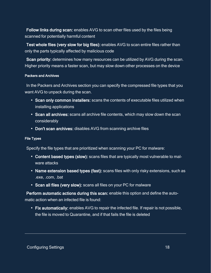Follow links during scan: enables AVG to scan other files used by the files being scanned for potentially harmful content

Test whole files (very slow for big files): enables AVG to scan entire files rather than only the parts typically affected by malicious code

Scan priority: determines how many resources can be utilized by AVG during the scan. Higher priority means a faster scan, but may slow down other processes on the device

#### <span id="page-17-0"></span>Packers and Archives

In the Packers and Archives section you can specify the compressed file types that you want AVG to unpack during the scan.

- Scan only common installers: scans the contents of executable files utilized when installing applications
- Scan all archives: scans all archive file contents, which may slow down the scan considerably
- <span id="page-17-1"></span>• Don't scan archives: disables AVG from scanning archive files

#### File Types

Specify the file types that are prioritized when scanning your PC for malware:

- Content based types (slow): scans files that are typically most vulnerable to malware attacks
- Name extension based types (fast): scans files with only risky extensions, such as .exe, .com, .bat
- Scan all files (very slow): scans all files on your PC for malware

Perform automatic actions during this scan: enable this option and define the automatic action when an infected file is found:

• Fix automatically: enables AVG to repair the infected file. If repair is not possible, the file is moved to Quarantine, and if that fails the file is deleted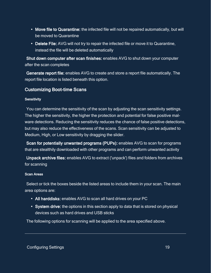- Move file to Quarantine: the infected file will not be repaired automatically, but will be moved to Quarantine
- Delete File: AVG will not try to repair the infected file or move it to Quarantine, instead the file will be deleted automatically

Shut down computer after scan finishes: enables AVG to shut down your computer after the scan completes

Generate report file: enables AVG to create and store a report file automatically. The report file location is listed beneath this option.

### <span id="page-18-1"></span><span id="page-18-0"></span>Customizing Boot-time Scans

#### **Sensitivity**

You can determine the sensitivity of the scan by adjusting the scan sensitivity settings. The higher the sensitivity, the higher the protection and potential for false positive malware detections. Reducing the sensitivity reduces the chance of false positive detections, but may also reduce the effectiveness of the scans. Scan sensitivity can be adjusted to Medium, High, or Low sensitivity by dragging the slider.

Scan for potentially unwanted programs (PUPs): enables AVG to scan for programs that are stealthily downloaded with other programs and can perform unwanted activity

Unpack archive files: enables AVG to extract ('unpack') files and folders from archives for scanning

#### <span id="page-18-2"></span>Scan Areas

Select or tick the boxes beside the listed areas to include them in your scan. The main area options are:

- All harddisks: enables AVG to scan all hard drives on your PC
- System drive: the options in this section apply to data that is stored on physical devices such as hard drives and USB sticks

The following options for scanning will be applied to the area specified above.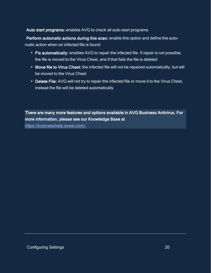### Auto start programs: enables AVG to check all auto-start programs

Perform automatic actions during this scan: enable this option and define the automatic action when an infected file is found:

- Fix automatically: enables AVG to repair the infected file. If repair is not possible, the file is moved to the Virus Chest, and if that fails the file is deleted
- Move file to Virus Chest: the infected file will not be repaired automatically, but will be moved to the Virus Chest
- Delete File: AVG will not try to repair the infected file or move it to the Virus Chest, instead the file will be deleted automatically

There are many more features and options available in AVG Business Antivirus. For more information, please see our Knowledge Base at

<https://businesshelp.avast.com/>.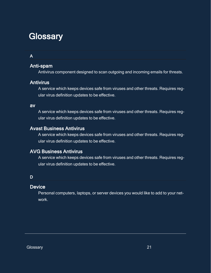## <span id="page-20-0"></span>**Glossary**

### A

## Anti-spam

Antivirus component designed to scan outgoing and incoming emails for threats.

### **Antivirus**

A service which keeps devices safe from viruses and other threats. Requires regular virus definition updates to be effective.

#### av

A service which keeps devices safe from viruses and other threats. Requires regular virus definition updates to be effective.

## Avast Business Antivirus

A service which keeps devices safe from viruses and other threats. Requires regular virus definition updates to be effective.

## AVG Business Antivirus

A service which keeps devices safe from viruses and other threats. Requires regular virus definition updates to be effective.

### D

### **Device**

Personal computers, laptops, or server devices you would like to add to your network.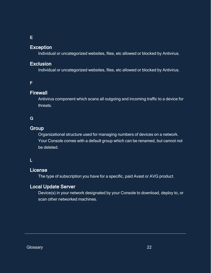#### E

### Exception

Individual or uncategorized websites, files, etc allowed or blocked by Antivirus.

### Exclusion

Individual or uncategorized websites, files, etc allowed or blocked by Antivirus.

### F

### **Firewall**

Antivirus component which scans all outgoing and incoming traffic to a device for threats.

### G

### **Group**

Organizational structure used for managing numbers of devices on a network. Your Console comes with a default group which can be renamed, but cannot not be deleted.

### L

## License

The type of subscription you have for a specific, paid Avast or AVG product.

### Local Update Server

Device(s) in your network designated by your Console to download, deploy to, or scan other networked machines.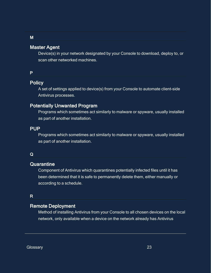### Master Agent

Device(s) in your network designated by your Console to download, deploy to, or scan other networked machines.

#### P

## **Policy**

A set of settings applied to device(s) from your Console to automate client-side Antivirus processes.

### Potentially Unwanted Program

Programs which sometimes act similarly to malware or spyware, usually installed as part of another installation.

#### PUP

Programs which sometimes act similarly to malware or spyware, usually installed as part of another installation.

#### Q

#### **Quarantine**

Component of Antivirus which quarantines potentially infected files until it has been determined that it is safe to permanently delete them, either manually or according to a schedule.

### R

### Remote Deployment

Method of installing Antivirus from your Console to all chosen devices on the local network, only available when a device on the network already has Antivirus